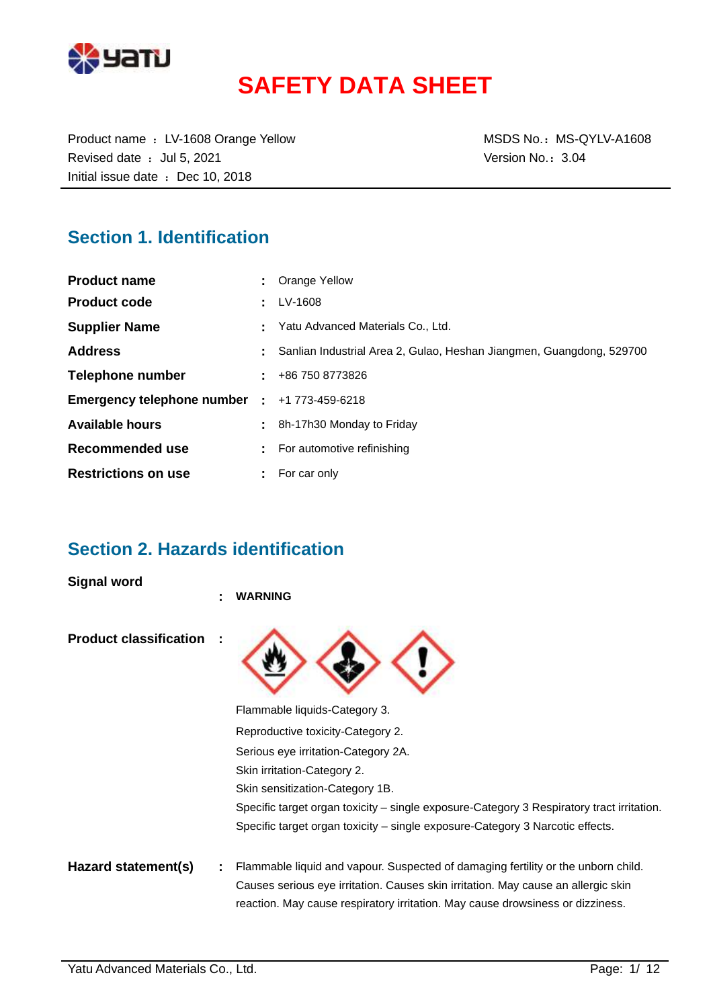

# **SAFETY DATA SHEET**

Product name : LV-1608 Orange Yellow MSDS No.: MS-QYLV-A1608 Revised date : Jul 5, 2021 **Version No.: 3.04** Initial issue date : Dec 10, 2018

# **Section 1. Identification**

| <b>Product name</b>          | : Orange Yellow                                                      |
|------------------------------|----------------------------------------------------------------------|
| <b>Product code</b>          | $\pm$ LV-1608                                                        |
| <b>Supplier Name</b>         | Yatu Advanced Materials Co., Ltd.                                    |
| <b>Address</b>               | Sanlian Industrial Area 2, Gulao, Heshan Jiangmen, Guangdong, 529700 |
| Telephone number             | $\pm 486$ 750 8773826                                                |
| Emergency telephone number : | +1 773-459-6218                                                      |
| <b>Available hours</b>       | 8h-17h30 Monday to Friday                                            |
| Recommended use              | For automotive refinishing                                           |
| <b>Restrictions on use</b>   | For car only                                                         |

# **Section 2. Hazards identification**

**Signal word**

|                               | ٠ | <b>WARNING</b>                                                                                                                                                      |
|-------------------------------|---|---------------------------------------------------------------------------------------------------------------------------------------------------------------------|
| <b>Product classification</b> |   |                                                                                                                                                                     |
|                               |   | Flammable liquids-Category 3.                                                                                                                                       |
|                               |   | Reproductive toxicity-Category 2.                                                                                                                                   |
|                               |   | Serious eye irritation-Category 2A.                                                                                                                                 |
|                               |   | Skin irritation-Category 2.                                                                                                                                         |
|                               |   | Skin sensitization-Category 1B.                                                                                                                                     |
|                               |   | Specific target organ toxicity – single exposure-Category 3 Respiratory tract irritation.                                                                           |
|                               |   | Specific target organ toxicity – single exposure-Category 3 Narcotic effects.                                                                                       |
| Hazard statement(s)           |   | Flammable liquid and vapour. Suspected of damaging fertility or the unborn child.                                                                                   |
|                               |   | Causes serious eye irritation. Causes skin irritation. May cause an allergic skin<br>reaction. May cause respiratory irritation. May cause drowsiness or dizziness. |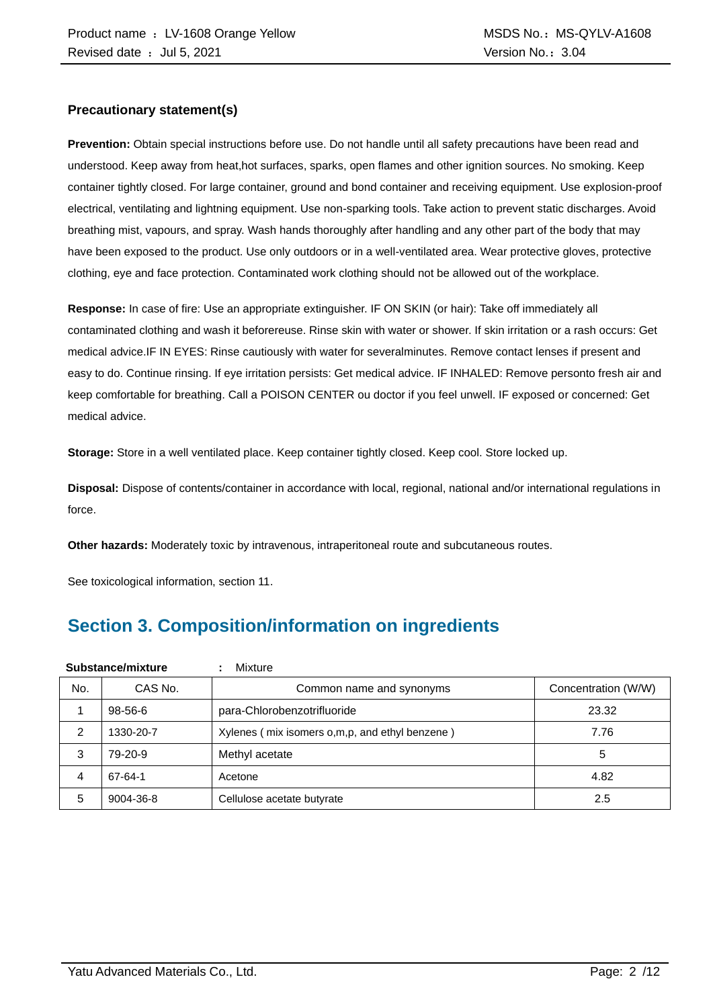#### **Precautionary statement(s)**

**Prevention:** Obtain special instructions before use. Do not handle until all safety precautions have been read and understood. Keep away from heat,hot surfaces, sparks, open flames and other ignition sources. No smoking. Keep container tightly closed. For large container, ground and bond container and receiving equipment. Use explosion-proof electrical, ventilating and lightning equipment. Use non-sparking tools. Take action to prevent static discharges. Avoid breathing mist, vapours, and spray. Wash hands thoroughly after handling and any other part of the body that may have been exposed to the product. Use only outdoors or in a well-ventilated area. Wear protective gloves, protective clothing, eye and face protection. Contaminated work clothing should not be allowed out of the workplace.

**Response:** In case of fire: Use an appropriate extinguisher. IF ON SKIN (or hair): Take off immediately all contaminated clothing and wash it beforereuse. Rinse skin with water or shower. If skin irritation or a rash occurs: Get medical advice.IF IN EYES: Rinse cautiously with water for severalminutes. Remove contact lenses if present and easy to do. Continue rinsing. If eye irritation persists: Get medical advice. IF INHALED: Remove personto fresh air and keep comfortable for breathing. Call a POISON CENTER ou doctor if you feel unwell. IF exposed or concerned: Get medical advice.

**Storage:** Store in a well ventilated place. Keep container tightly closed. Keep cool. Store locked up.

**Disposal:** Dispose of contents/container in accordance with local, regional, national and/or international regulations in force.

**Other hazards:** Moderately toxic by intravenous, intraperitoneal route and subcutaneous routes.

See toxicological information, section 11.

# **Section 3. Composition/information on ingredients**

| Substance/mixture |               | Mixture                                        |                     |
|-------------------|---------------|------------------------------------------------|---------------------|
| No.               | CAS No.       | Common name and synonyms                       | Concentration (W/W) |
|                   | $98 - 56 - 6$ | para-Chlorobenzotrifluoride                    | 23.32               |
| 2                 | 1330-20-7     | Xylenes (mix isomers o,m,p, and ethyl benzene) | 7.76                |
| 3                 | 79-20-9       | Methyl acetate                                 | 5                   |
| 4                 | 67-64-1       | Acetone                                        | 4.82                |
| 5                 | 9004-36-8     | Cellulose acetate butyrate                     | 2.5                 |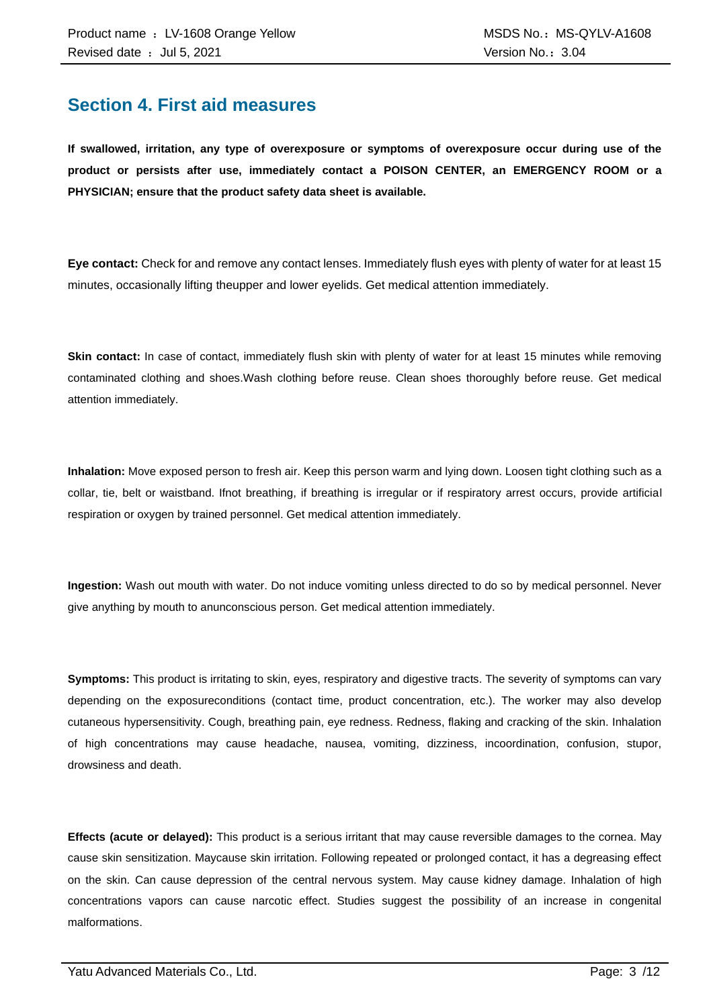### **Section 4. First aid measures**

**If swallowed, irritation, any type of overexposure or symptoms of overexposure occur during use of the product or persists after use, immediately contact a POISON CENTER, an EMERGENCY ROOM or a PHYSICIAN; ensure that the product safety data sheet is available.**

**Eye contact:** Check for and remove any contact lenses. Immediately flush eyes with plenty of water for at least 15 minutes, occasionally lifting theupper and lower eyelids. Get medical attention immediately.

**Skin contact:** In case of contact, immediately flush skin with plenty of water for at least 15 minutes while removing contaminated clothing and shoes.Wash clothing before reuse. Clean shoes thoroughly before reuse. Get medical attention immediately.

**Inhalation:** Move exposed person to fresh air. Keep this person warm and lying down. Loosen tight clothing such as a collar, tie, belt or waistband. Ifnot breathing, if breathing is irregular or if respiratory arrest occurs, provide artificial respiration or oxygen by trained personnel. Get medical attention immediately.

**Ingestion:** Wash out mouth with water. Do not induce vomiting unless directed to do so by medical personnel. Never give anything by mouth to anunconscious person. Get medical attention immediately.

**Symptoms:** This product is irritating to skin, eyes, respiratory and digestive tracts. The severity of symptoms can vary depending on the exposureconditions (contact time, product concentration, etc.). The worker may also develop cutaneous hypersensitivity. Cough, breathing pain, eye redness. Redness, flaking and cracking of the skin. Inhalation of high concentrations may cause headache, nausea, vomiting, dizziness, incoordination, confusion, stupor, drowsiness and death.

**Effects (acute or delayed):** This product is a serious irritant that may cause reversible damages to the cornea. May cause skin sensitization. Maycause skin irritation. Following repeated or prolonged contact, it has a degreasing effect on the skin. Can cause depression of the central nervous system. May cause kidney damage. Inhalation of high concentrations vapors can cause narcotic effect. Studies suggest the possibility of an increase in congenital malformations.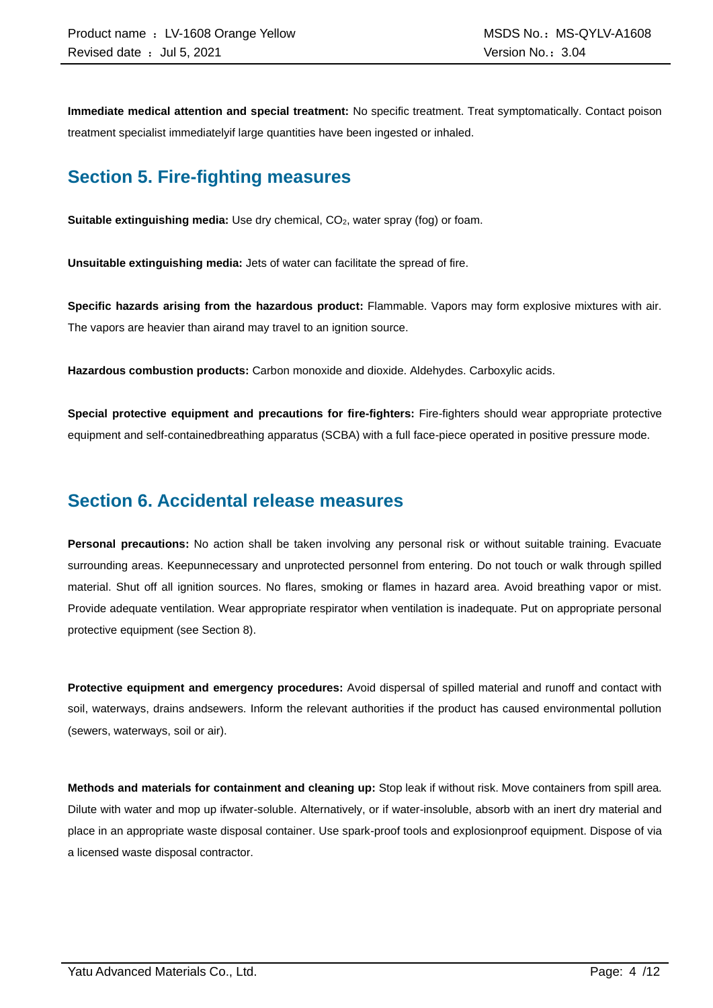**Immediate medical attention and special treatment:** No specific treatment. Treat symptomatically. Contact poison treatment specialist immediatelyif large quantities have been ingested or inhaled.

# **Section 5. Fire-fighting measures**

**Suitable extinguishing media:** Use dry chemical, CO<sub>2</sub>, water spray (fog) or foam.

**Unsuitable extinguishing media:** Jets of water can facilitate the spread of fire.

**Specific hazards arising from the hazardous product:** Flammable. Vapors may form explosive mixtures with air. The vapors are heavier than airand may travel to an ignition source.

**Hazardous combustion products:** Carbon monoxide and dioxide. Aldehydes. Carboxylic acids.

**Special protective equipment and precautions for fire-fighters:** Fire-fighters should wear appropriate protective equipment and self-containedbreathing apparatus (SCBA) with a full face-piece operated in positive pressure mode.

### **Section 6. Accidental release measures**

**Personal precautions:** No action shall be taken involving any personal risk or without suitable training. Evacuate surrounding areas. Keepunnecessary and unprotected personnel from entering. Do not touch or walk through spilled material. Shut off all ignition sources. No flares, smoking or flames in hazard area. Avoid breathing vapor or mist. Provide adequate ventilation. Wear appropriate respirator when ventilation is inadequate. Put on appropriate personal protective equipment (see Section 8).

**Protective equipment and emergency procedures:** Avoid dispersal of spilled material and runoff and contact with soil, waterways, drains andsewers. Inform the relevant authorities if the product has caused environmental pollution (sewers, waterways, soil or air).

**Methods and materials for containment and cleaning up:** Stop leak if without risk. Move containers from spill area. Dilute with water and mop up ifwater-soluble. Alternatively, or if water-insoluble, absorb with an inert dry material and place in an appropriate waste disposal container. Use spark-proof tools and explosionproof equipment. Dispose of via a licensed waste disposal contractor.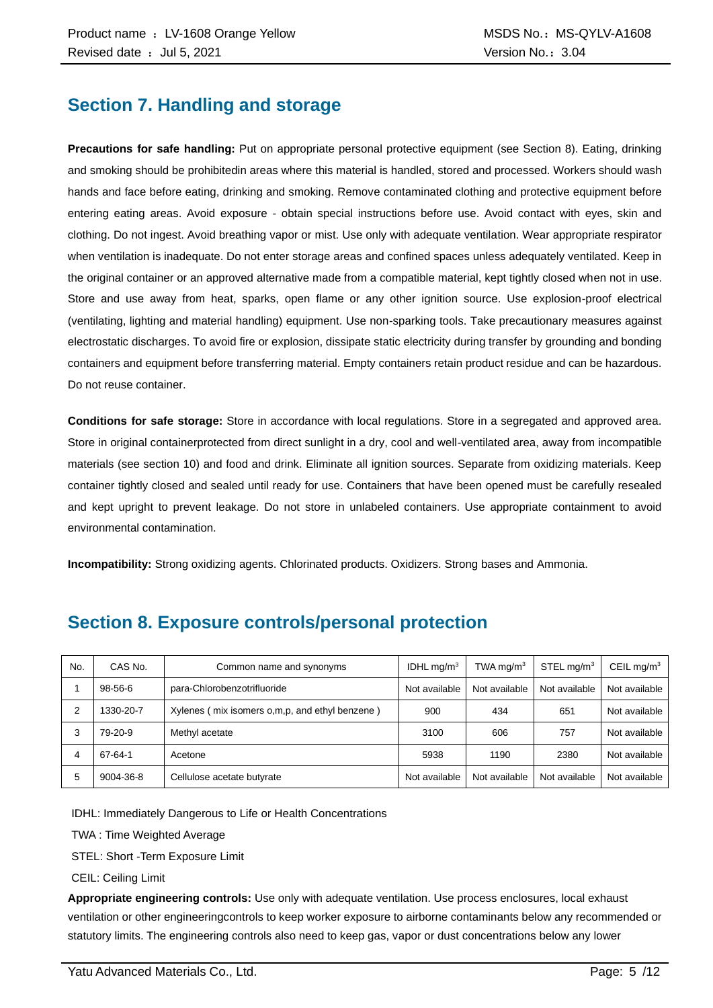# **Section 7. Handling and storage**

**Precautions for safe handling:** Put on appropriate personal protective equipment (see Section 8). Eating, drinking and smoking should be prohibitedin areas where this material is handled, stored and processed. Workers should wash hands and face before eating, drinking and smoking. Remove contaminated clothing and protective equipment before entering eating areas. Avoid exposure - obtain special instructions before use. Avoid contact with eyes, skin and clothing. Do not ingest. Avoid breathing vapor or mist. Use only with adequate ventilation. Wear appropriate respirator when ventilation is inadequate. Do not enter storage areas and confined spaces unless adequately ventilated. Keep in the original container or an approved alternative made from a compatible material, kept tightly closed when not in use. Store and use away from heat, sparks, open flame or any other ignition source. Use explosion-proof electrical (ventilating, lighting and material handling) equipment. Use non-sparking tools. Take precautionary measures against electrostatic discharges. To avoid fire or explosion, dissipate static electricity during transfer by grounding and bonding containers and equipment before transferring material. Empty containers retain product residue and can be hazardous. Do not reuse container.

**Conditions for safe storage:** Store in accordance with local regulations. Store in a segregated and approved area. Store in original containerprotected from direct sunlight in a dry, cool and well-ventilated area, away from incompatible materials (see section 10) and food and drink. Eliminate all ignition sources. Separate from oxidizing materials. Keep container tightly closed and sealed until ready for use. Containers that have been opened must be carefully resealed and kept upright to prevent leakage. Do not store in unlabeled containers. Use appropriate containment to avoid environmental contamination.

**Incompatibility:** Strong oxidizing agents. Chlorinated products. Oxidizers. Strong bases and Ammonia.

| No. | CAS No.   | Common name and synonyms                         | IDHL mg/m $3$ | TWA mg/m $3$  | STEL mg/m <sup>3</sup> | CEIL mg/ $m3$ |
|-----|-----------|--------------------------------------------------|---------------|---------------|------------------------|---------------|
|     | 98-56-6   | para-Chlorobenzotrifluoride                      | Not available | Not available | Not available          | Not available |
| 2   | 1330-20-7 | Xylenes (mix isomers o, m, p, and ethyl benzene) | 900           | 434           | 651                    | Not available |
| 3   | 79-20-9   | Methyl acetate                                   | 3100          | 606           | 757                    | Not available |
| 4   | 67-64-1   | Acetone                                          | 5938          | 1190          | 2380                   | Not available |
| 5   | 9004-36-8 | Cellulose acetate butyrate                       | Not available | Not available | Not available          | Not available |

# **Section 8. Exposure controls/personal protection**

IDHL: Immediately Dangerous to Life or Health Concentrations

TWA : Time Weighted Average

STEL: Short -Term Exposure Limit

CEIL: Ceiling Limit

**Appropriate engineering controls:** Use only with adequate ventilation. Use process enclosures, local exhaust ventilation or other engineeringcontrols to keep worker exposure to airborne contaminants below any recommended or statutory limits. The engineering controls also need to keep gas, vapor or dust concentrations below any lower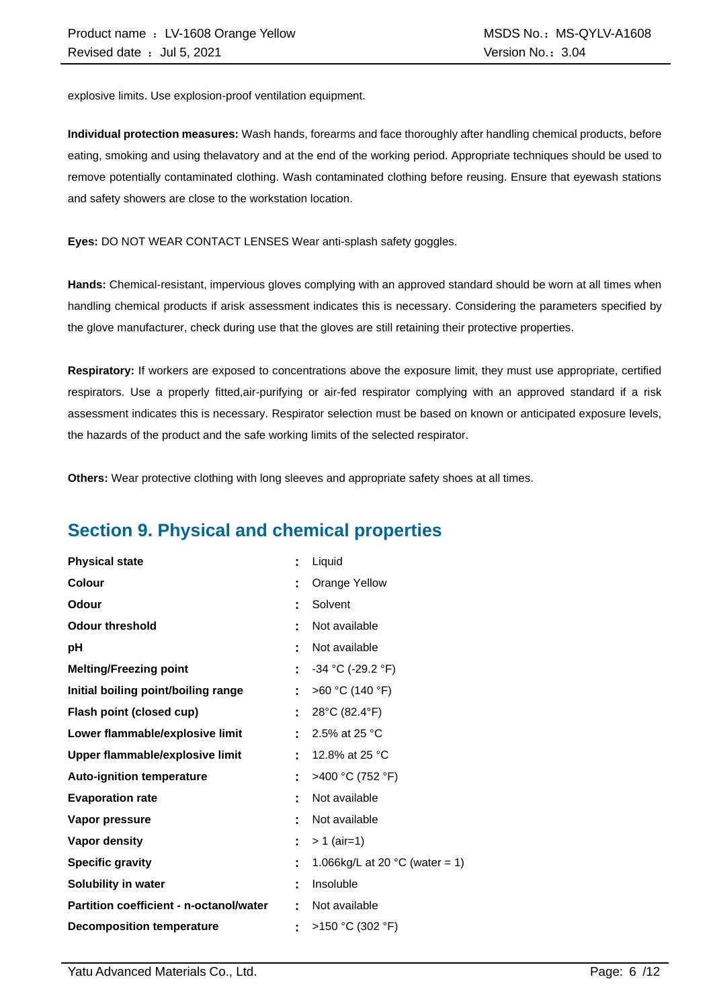explosive limits. Use explosion-proof ventilation equipment.

**Individual protection measures:** Wash hands, forearms and face thoroughly after handling chemical products, before eating, smoking and using thelavatory and at the end of the working period. Appropriate techniques should be used to remove potentially contaminated clothing. Wash contaminated clothing before reusing. Ensure that eyewash stations and safety showers are close to the workstation location.

**Eyes:** DO NOT WEAR CONTACT LENSES Wear anti-splash safety goggles.

**Hands:** Chemical-resistant, impervious gloves complying with an approved standard should be worn at all times when handling chemical products if arisk assessment indicates this is necessary. Considering the parameters specified by the glove manufacturer, check during use that the gloves are still retaining their protective properties.

**Respiratory:** If workers are exposed to concentrations above the exposure limit, they must use appropriate, certified respirators. Use a properly fitted,air-purifying or air-fed respirator complying with an approved standard if a risk assessment indicates this is necessary. Respirator selection must be based on known or anticipated exposure levels, the hazards of the product and the safe working limits of the selected respirator.

**Others:** Wear protective clothing with long sleeves and appropriate safety shoes at all times.

# **Section 9. Physical and chemical properties**

| <b>Physical state</b>                          |    | Liquid                                   |
|------------------------------------------------|----|------------------------------------------|
| <b>Colour</b>                                  |    | <b>Orange Yellow</b>                     |
| <b>Odour</b>                                   |    | Solvent                                  |
| <b>Odour threshold</b>                         |    | Not available                            |
| рH                                             |    | Not available                            |
| <b>Melting/Freezing point</b>                  | t. | $-34$ °C (-29.2 °F)                      |
| Initial boiling point/boiling range            | t. | >60 °C (140 °F)                          |
| Flash point (closed cup)                       | Ē. | 28°C (82.4°F)                            |
| Lower flammable/explosive limit                |    | 2.5% at 25 °C                            |
| Upper flammable/explosive limit                | ÷  | 12.8% at 25 °C                           |
| <b>Auto-ignition temperature</b>               |    | >400 °C (752 °F)                         |
| <b>Evaporation rate</b>                        |    | Not available                            |
| Vapor pressure                                 |    | Not available                            |
| <b>Vapor density</b>                           | ÷. | $> 1$ (air=1)                            |
| <b>Specific gravity</b>                        | ÷  | 1.066kg/L at 20 $^{\circ}$ C (water = 1) |
| Solubility in water                            | ٠  | Insoluble                                |
| <b>Partition coefficient - n-octanol/water</b> |    | Not available                            |
| <b>Decomposition temperature</b>               |    | >150 °C (302 °F)                         |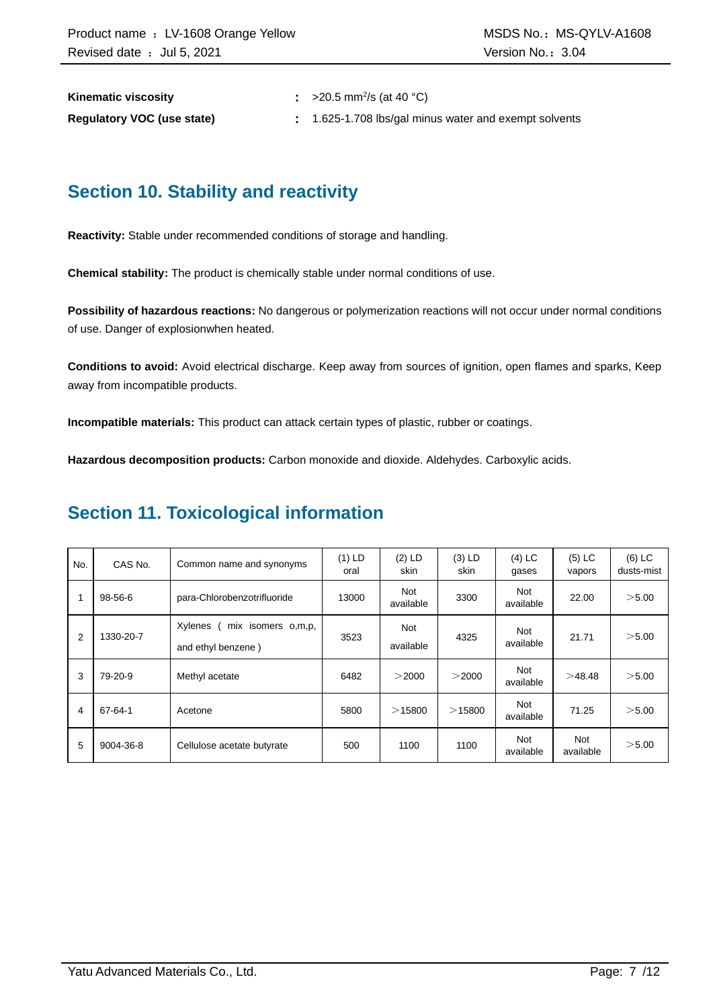**Kinematic viscosity** 

:  $>20.5$  mm<sup>2</sup>/s (at 40 °C)

**Regulatory VOC (use state) :** 1.625-1.708 lbs/gal minus water and exempt solvents

# **Section 10. Stability and reactivity**

**Reactivity:** Stable under recommended conditions of storage and handling.

**Chemical stability:** The product is chemically stable under normal conditions of use.

**Possibility of hazardous reactions:** No dangerous or polymerization reactions will not occur under normal conditions of use. Danger of explosionwhen heated.

**Conditions to avoid:** Avoid electrical discharge. Keep away from sources of ignition, open flames and sparks, Keep away from incompatible products.

**Incompatible materials:** This product can attack certain types of plastic, rubber or coatings.

**Hazardous decomposition products:** Carbon monoxide and dioxide. Aldehydes. Carboxylic acids.

# **Section 11. Toxicological information**

| No. | CAS No.   | Common name and synonyms                            | $(1)$ LD<br>oral | $(2)$ LD<br>skin        | $(3)$ LD<br>skin | $(4)$ LC<br>gases       | $(5)$ LC<br>vapors | $(6)$ LC<br>dusts-mist |
|-----|-----------|-----------------------------------------------------|------------------|-------------------------|------------------|-------------------------|--------------------|------------------------|
|     | 98-56-6   | para-Chlorobenzotrifluoride                         | 13000            | Not<br>available        | 3300             | <b>Not</b><br>available | 22.00              | >5.00                  |
| 2   | 1330-20-7 | Xylenes<br>mix isomers o,m,p,<br>and ethyl benzene) | 3523             | <b>Not</b><br>available | 4325             | <b>Not</b><br>available | 21.71              | >5.00                  |
| 3   | 79-20-9   | Methyl acetate                                      | 6482             | >2000                   | >2000            | <b>Not</b><br>available | >48.48             | >5.00                  |
| 4   | 67-64-1   | Acetone                                             | 5800             | >15800                  | $>$ 15800        | Not<br>available        | 71.25              | >5.00                  |
| 5   | 9004-36-8 | Cellulose acetate butyrate                          | 500              | 1100                    | 1100             | <b>Not</b><br>available | Not<br>available   | >5.00                  |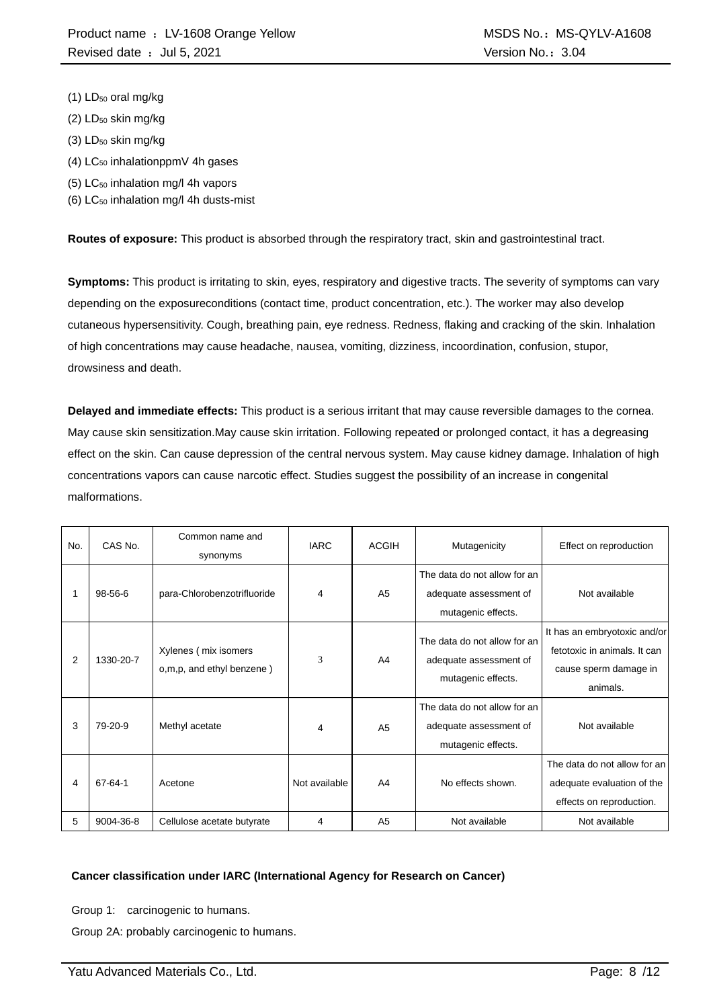- (1) LD<sub>50</sub> oral mg/kg
- $(2)$  LD<sub>50</sub> skin mg/kg
- (3) LD<sub>50</sub> skin mg/kg
- $(4)$  LC<sub>50</sub> inhalationppmV 4h gases
- (5) LC<sup>50</sup> inhalation mg/l 4h vapors
- (6)  $LC_{50}$  inhalation mg/l 4h dusts-mist

**Routes of exposure:** This product is absorbed through the respiratory tract, skin and gastrointestinal tract.

**Symptoms:** This product is irritating to skin, eyes, respiratory and digestive tracts. The severity of symptoms can vary depending on the exposureconditions (contact time, product concentration, etc.). The worker may also develop cutaneous hypersensitivity. Cough, breathing pain, eye redness. Redness, flaking and cracking of the skin. Inhalation of high concentrations may cause headache, nausea, vomiting, dizziness, incoordination, confusion, stupor, drowsiness and death.

**Delayed and immediate effects:** This product is a serious irritant that may cause reversible damages to the cornea. May cause skin sensitization.May cause skin irritation. Following repeated or prolonged contact, it has a degreasing effect on the skin. Can cause depression of the central nervous system. May cause kidney damage. Inhalation of high concentrations vapors can cause narcotic effect. Studies suggest the possibility of an increase in congenital malformations.

| No. | CAS No.   | Common name and<br>synonyms                       | <b>IARC</b>   | <b>ACGIH</b>   | Mutagenicity                                                                 | Effect on reproduction                                                                            |
|-----|-----------|---------------------------------------------------|---------------|----------------|------------------------------------------------------------------------------|---------------------------------------------------------------------------------------------------|
|     | 98-56-6   | para-Chlorobenzotrifluoride                       | 4             | A <sub>5</sub> | The data do not allow for an<br>adequate assessment of<br>mutagenic effects. | Not available                                                                                     |
| 2   | 1330-20-7 | Xylenes (mix isomers<br>o,m,p, and ethyl benzene) | 3             | A4             | The data do not allow for an<br>adequate assessment of<br>mutagenic effects. | It has an embryotoxic and/or<br>fetotoxic in animals. It can<br>cause sperm damage in<br>animals. |
| 3   | 79-20-9   | Methyl acetate                                    | 4             | A <sub>5</sub> | The data do not allow for an<br>adequate assessment of<br>mutagenic effects. | Not available                                                                                     |
| 4   | 67-64-1   | Acetone                                           | Not available | A <sub>4</sub> | No effects shown.                                                            | The data do not allow for an<br>adequate evaluation of the<br>effects on reproduction.            |
| 5   | 9004-36-8 | Cellulose acetate butyrate                        | 4             | A <sub>5</sub> | Not available                                                                | Not available                                                                                     |

#### **Cancer classification under IARC (International Agency for Research on Cancer)**

Group 1: carcinogenic to humans.

Group 2A: probably carcinogenic to humans.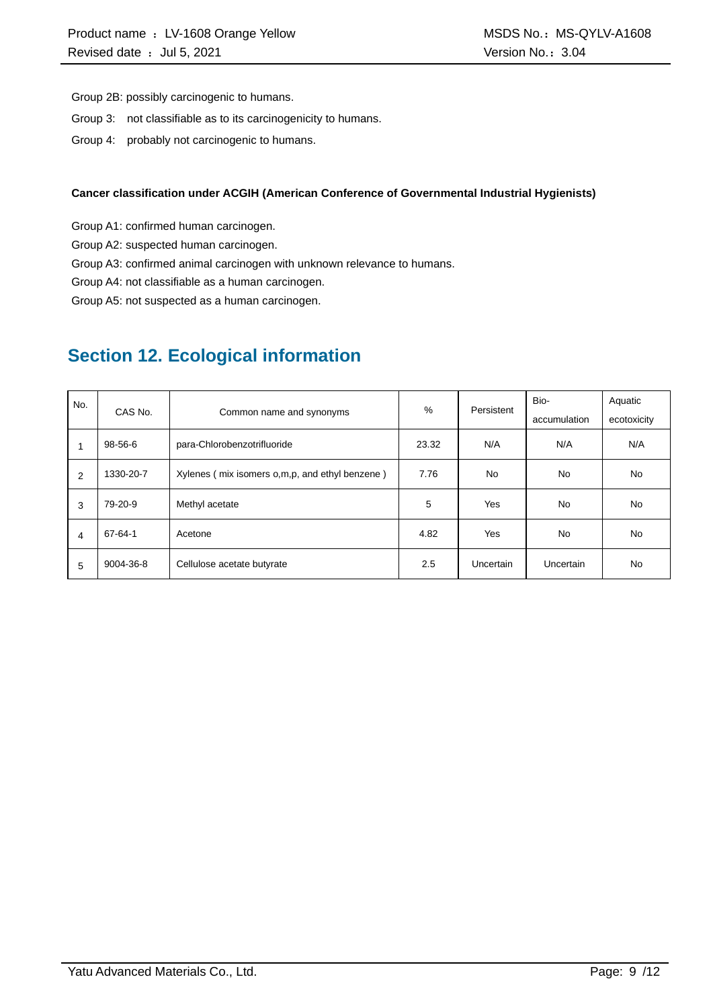Group 2B: possibly carcinogenic to humans.

- Group 3: not classifiable as to its carcinogenicity to humans.
- Group 4: probably not carcinogenic to humans.

#### **Cancer classification under ACGIH (American Conference of Governmental Industrial Hygienists)**

Group A1: confirmed human carcinogen.

Group A2: suspected human carcinogen.

Group A3: confirmed animal carcinogen with unknown relevance to humans.

Group A4: not classifiable as a human carcinogen.

Group A5: not suspected as a human carcinogen.

# **Section 12. Ecological information**

| No.            |           |                                                | %     | Persistent | Bio-         | Aquatic     |
|----------------|-----------|------------------------------------------------|-------|------------|--------------|-------------|
|                | CAS No.   | Common name and synonyms                       |       |            | accumulation | ecotoxicity |
|                | 98-56-6   | para-Chlorobenzotrifluoride                    | 23.32 | N/A        | N/A          | N/A         |
| 2              | 1330-20-7 | Xylenes (mix isomers o,m,p, and ethyl benzene) | 7.76  | <b>No</b>  | No.          | No          |
| 3              | 79-20-9   | Methyl acetate                                 | 5     | Yes        | <b>No</b>    | <b>No</b>   |
| $\overline{4}$ | 67-64-1   | Acetone                                        | 4.82  | Yes        | No.          | No          |
| 5              | 9004-36-8 | Cellulose acetate butyrate                     | 2.5   | Uncertain  | Uncertain    | No          |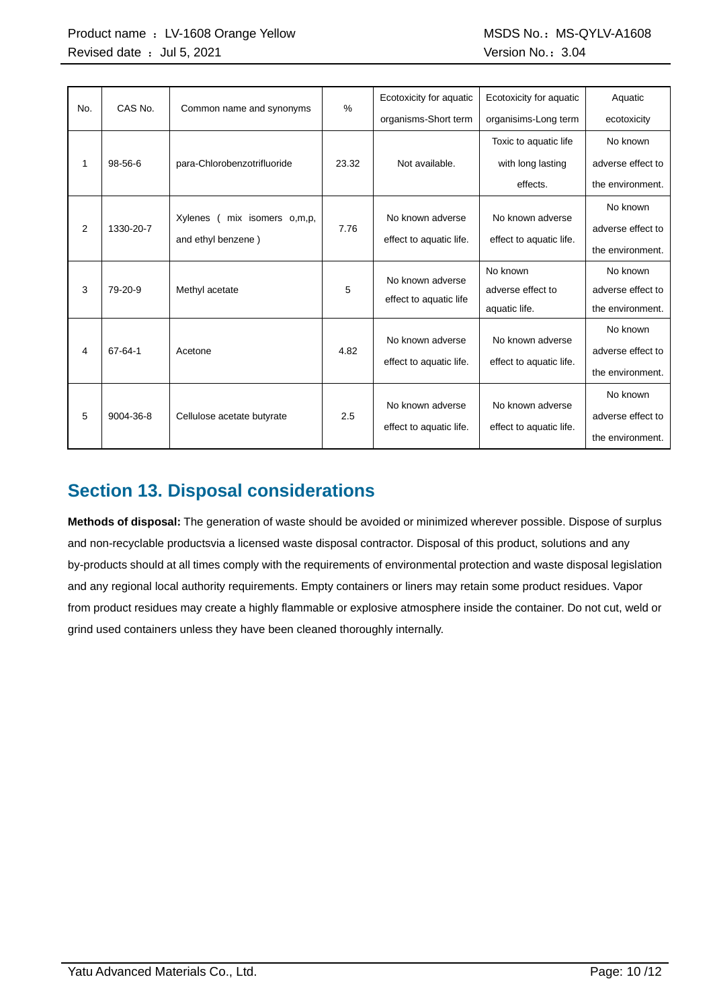| No. | CAS No.   | Common name and synonyms        | %     | Ecotoxicity for aquatic | Ecotoxicity for aquatic | Aquatic           |
|-----|-----------|---------------------------------|-------|-------------------------|-------------------------|-------------------|
|     |           |                                 |       | organisms-Short term    | organisims-Long term    | ecotoxicity       |
|     |           |                                 |       |                         | Toxic to aquatic life   | No known          |
| 1   | 98-56-6   | para-Chlorobenzotrifluoride     | 23.32 | Not available.          | with long lasting       | adverse effect to |
|     |           |                                 |       |                         | effects.                | the environment.  |
|     |           |                                 |       |                         |                         | No known          |
| 2   | 1330-20-7 | mix isomers o,m,p,<br>Xylenes ( | 7.76  | No known adverse        | No known adverse        | adverse effect to |
|     |           | and ethyl benzene)              |       | effect to aquatic life. | effect to aquatic life. | the environment.  |
|     |           |                                 |       | No known adverse        | No known                | No known          |
| 3   | 79-20-9   | Methyl acetate                  | 5     | effect to aquatic life  | adverse effect to       | adverse effect to |
|     |           |                                 |       |                         | aquatic life.           | the environment.  |
|     |           |                                 |       | No known adverse        | No known adverse        | No known          |
| 4   | 67-64-1   | Acetone                         | 4.82  |                         |                         | adverse effect to |
|     |           |                                 |       | effect to aquatic life. | effect to aquatic life. | the environment.  |
|     |           |                                 |       |                         |                         | No known          |
| 5   | 9004-36-8 | Cellulose acetate butyrate      | 2.5   | No known adverse        | No known adverse        | adverse effect to |
|     |           |                                 |       | effect to aquatic life. | effect to aquatic life. | the environment.  |

# **Section 13. Disposal considerations**

**Methods of disposal:** The generation of waste should be avoided or minimized wherever possible. Dispose of surplus and non-recyclable productsvia a licensed waste disposal contractor. Disposal of this product, solutions and any by-products should at all times comply with the requirements of environmental protection and waste disposal legislation and any regional local authority requirements. Empty containers or liners may retain some product residues. Vapor from product residues may create a highly flammable or explosive atmosphere inside the container. Do not cut, weld or grind used containers unless they have been cleaned thoroughly internally.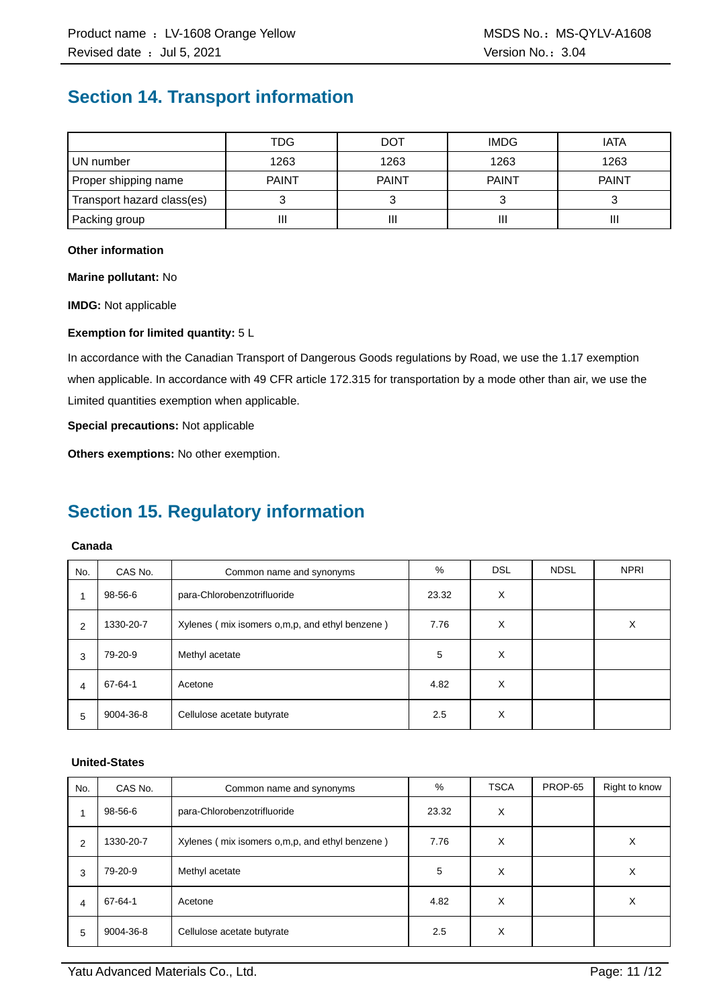# **Section 14. Transport information**

|                            | TDG          | <b>DOT</b>   | <b>IMDG</b>  | <b>IATA</b>  |
|----------------------------|--------------|--------------|--------------|--------------|
| UN number                  | 1263         | 1263         | 1263         | 1263         |
| Proper shipping name       | <b>PAINT</b> | <b>PAINT</b> | <b>PAINT</b> | <b>PAINT</b> |
| Transport hazard class(es) |              |              |              |              |
| Packing group              | н            | Ш            |              | Ш            |

#### **Other information**

**Marine pollutant:** No

**IMDG:** Not applicable

#### **Exemption for limited quantity:** 5 L

In accordance with the Canadian Transport of Dangerous Goods regulations by Road, we use the 1.17 exemption when applicable. In accordance with 49 CFR article 172.315 for transportation by a mode other than air, we use the Limited quantities exemption when applicable.

**Special precautions:** Not applicable

**Others exemptions:** No other exemption.

# **Section 15. Regulatory information**

#### **Canada**

| No. | CAS No.   | Common name and synonyms                         | %     | <b>DSL</b> | <b>NDSL</b> | <b>NPRI</b> |
|-----|-----------|--------------------------------------------------|-------|------------|-------------|-------------|
| 1   | 98-56-6   | para-Chlorobenzotrifluoride                      | 23.32 | X          |             |             |
| 2   | 1330-20-7 | Xylenes (mix isomers o, m, p, and ethyl benzene) | 7.76  | X          |             | X           |
| 3   | 79-20-9   | Methyl acetate                                   | 5     | X          |             |             |
| 4   | 67-64-1   | Acetone                                          | 4.82  | X          |             |             |
| 5   | 9004-36-8 | Cellulose acetate butyrate                       | 2.5   | X          |             |             |

#### **United-States**

| No.            | CAS No.   | Common name and synonyms                       | %     | <b>TSCA</b> | PROP-65 | Right to know |
|----------------|-----------|------------------------------------------------|-------|-------------|---------|---------------|
| 1              | 98-56-6   | para-Chlorobenzotrifluoride                    | 23.32 | X           |         |               |
| $\overline{2}$ | 1330-20-7 | Xylenes (mix isomers o,m,p, and ethyl benzene) | 7.76  | X           |         | х             |
| 3              | 79-20-9   | Methyl acetate                                 | 5     | X           |         | Х             |
| 4              | 67-64-1   | Acetone                                        | 4.82  | X           |         | X             |
| 5              | 9004-36-8 | Cellulose acetate butyrate                     | 2.5   | X           |         |               |